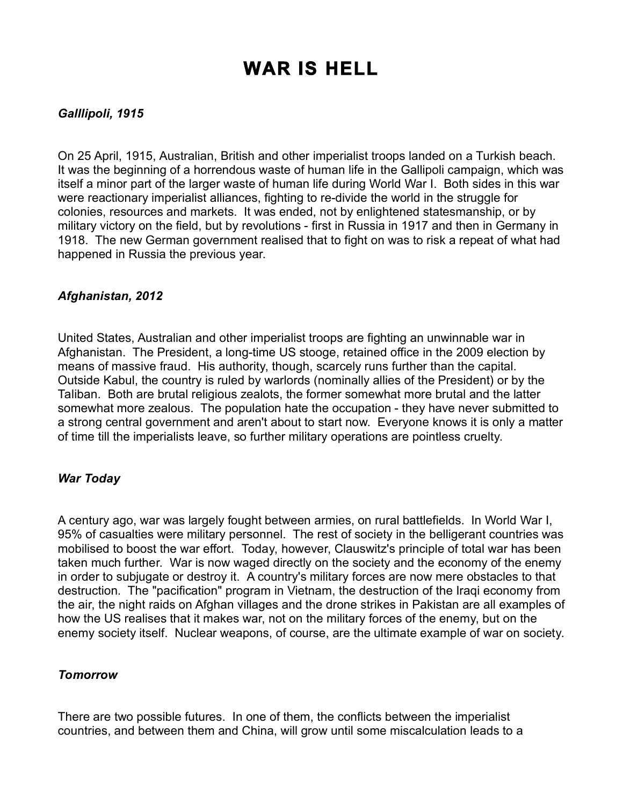# **WAR IS HELL**

### *Galllipoli, 1915*

On 25 April, 1915, Australian, British and other imperialist troops landed on a Turkish beach. It was the beginning of a horrendous waste of human life in the Gallipoli campaign, which was itself a minor part of the larger waste of human life during World War I. Both sides in this war were reactionary imperialist alliances, fighting to re-divide the world in the struggle for colonies, resources and markets. It was ended, not by enlightened statesmanship, or by military victory on the field, but by revolutions - first in Russia in 1917 and then in Germany in 1918. The new German government realised that to fight on was to risk a repeat of what had happened in Russia the previous year.

#### *Afghanistan, 2012*

United States, Australian and other imperialist troops are fighting an unwinnable war in Afghanistan. The President, a long-time US stooge, retained office in the 2009 election by means of massive fraud. His authority, though, scarcely runs further than the capital. Outside Kabul, the country is ruled by warlords (nominally allies of the President) or by the Taliban. Both are brutal religious zealots, the former somewhat more brutal and the latter somewhat more zealous. The population hate the occupation - they have never submitted to a strong central government and aren't about to start now. Everyone knows it is only a matter of time till the imperialists leave, so further military operations are pointless cruelty.

#### *War Today*

A century ago, war was largely fought between armies, on rural battlefields. In World War I, 95% of casualties were military personnel. The rest of society in the belligerant countries was mobilised to boost the war effort. Today, however, Clauswitz's principle of total war has been taken much further. War is now waged directly on the society and the economy of the enemy in order to subjugate or destroy it. A country's military forces are now mere obstacles to that destruction. The "pacification" program in Vietnam, the destruction of the Iraqi economy from the air, the night raids on Afghan villages and the drone strikes in Pakistan are all examples of how the US realises that it makes war, not on the military forces of the enemy, but on the enemy society itself. Nuclear weapons, of course, are the ultimate example of war on society.

#### *Tomorrow*

There are two possible futures. In one of them, the conflicts between the imperialist countries, and between them and China, will grow until some miscalculation leads to a